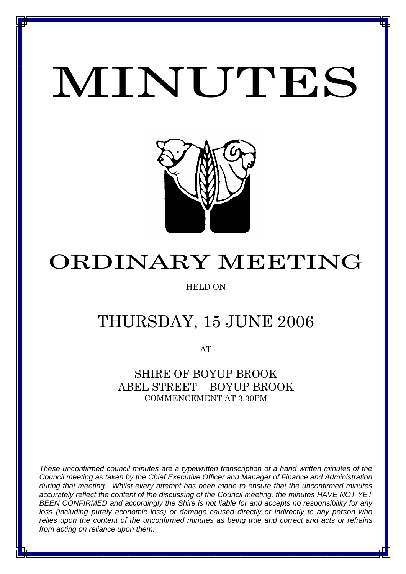# MINUTES

*MINUTES OF THE ORDINARY MEETING OF COUNCIL HELD ON 15 JUNE 2006*



# ORDINARY MEETING

### HELD ON

## THURSDAY, 15 JUNE 2006

AT

SHIRE OF BOYUP BROOK ABEL STREET – BOYUP BROOK COMMENCEMENT AT 3.30PM

*These unconfirmed council minutes are a typewritten transcription of a hand written minutes of the Council meeting as taken by the Chief Executive Officer and Manager of Finance and Administration during that meeting. Whilst every attempt has been made to ensure that the unconfirmed minutes accurately reflect the content of the discussing of the Council meeting, the minutes HAVE NOT YET BEEN CONFIRMED and accordingly the Shire is not liable for and accepts no responsibility for any loss (including purely economic loss) or damage caused directly or indirectly to any person who relies upon the content of the unconfirmed minutes as being true and correct and acts or refrains from acting on reliance upon them.*

1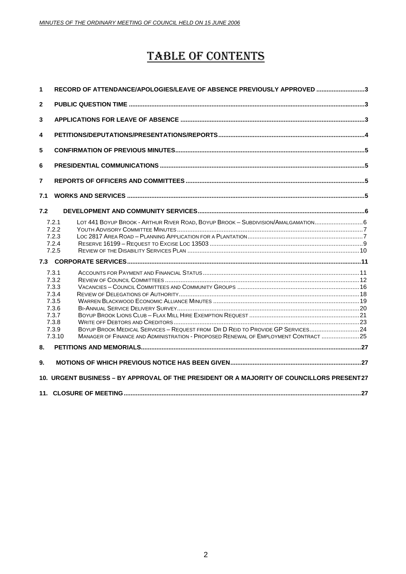### TABLE OF CONTENTS

| 1                                                                                         | RECORD OF ATTENDANCE/APOLOGIES/LEAVE OF ABSENCE PREVIOUSLY APPROVED 3                                                                                                                                                                                            |  |
|-------------------------------------------------------------------------------------------|------------------------------------------------------------------------------------------------------------------------------------------------------------------------------------------------------------------------------------------------------------------|--|
| $\mathbf{2}$                                                                              |                                                                                                                                                                                                                                                                  |  |
| 3                                                                                         |                                                                                                                                                                                                                                                                  |  |
| 4                                                                                         |                                                                                                                                                                                                                                                                  |  |
| 5                                                                                         |                                                                                                                                                                                                                                                                  |  |
| 6                                                                                         |                                                                                                                                                                                                                                                                  |  |
| $\overline{7}$                                                                            |                                                                                                                                                                                                                                                                  |  |
| 7.1                                                                                       |                                                                                                                                                                                                                                                                  |  |
| 7.2                                                                                       |                                                                                                                                                                                                                                                                  |  |
|                                                                                           | LOT 441 BOYUP BROOK - ARTHUR RIVER ROAD, BOYUP BROOK - SUBDIVISION/AMALGAMATION6<br>7.2.1<br>7.2.2<br>7.2.3<br>7.2.4<br>7.2.5                                                                                                                                    |  |
|                                                                                           |                                                                                                                                                                                                                                                                  |  |
|                                                                                           | 7.3.1<br>7.3.2<br>7.3.3<br>7.3.4<br>7.3.5<br>7.3.6<br>7.3.7<br>7.3.8<br>BOYUP BROOK MEDICAL SERVICES - REQUEST FROM DR D REID TO PROVIDE GP SERVICES24<br>7.3.9<br>MANAGER OF FINANCE AND ADMINISTRATION - PROPOSED RENEWAL OF EMPLOYMENT CONTRACT  25<br>7.3.10 |  |
| 8.                                                                                        |                                                                                                                                                                                                                                                                  |  |
| 9.                                                                                        |                                                                                                                                                                                                                                                                  |  |
| 10. URGENT BUSINESS - BY APPROVAL OF THE PRESIDENT OR A MAJORITY OF COUNCILLORS PRESENT27 |                                                                                                                                                                                                                                                                  |  |
|                                                                                           |                                                                                                                                                                                                                                                                  |  |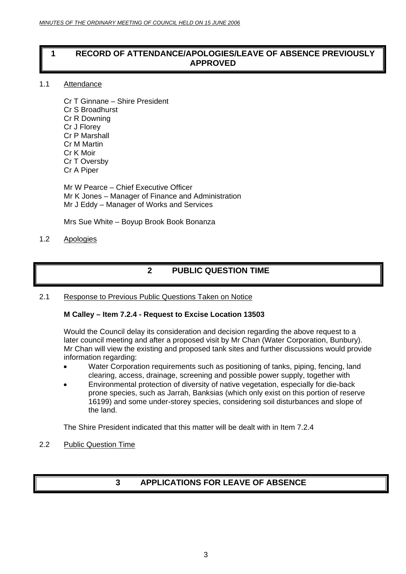#### <span id="page-2-0"></span>**1 RECORD OF ATTENDANCE/APOLOGIES/LEAVE OF ABSENCE PREVIOUSLY APPROVED**

#### 1.1 Attendance

Cr T Ginnane – Shire President Cr S Broadhurst Cr R Downing Cr J Florey Cr P Marshall Cr M Martin Cr K Moir Cr T Oversby Cr A Piper

Mr W Pearce – Chief Executive Officer Mr K Jones – Manager of Finance and Administration Mr J Eddy – Manager of Works and Services

Mrs Sue White – Boyup Brook Book Bonanza

#### 1.2 Apologies

### **2 PUBLIC QUESTION TIME**

#### 2.1 Response to Previous Public Questions Taken on Notice

#### **M Calley – Item 7.2.4 - Request to Excise Location 13503**

Would the Council delay its consideration and decision regarding the above request to a later council meeting and after a proposed visit by Mr Chan (Water Corporation, Bunbury). Mr Chan will view the existing and proposed tank sites and further discussions would provide information regarding:

- Water Corporation requirements such as positioning of tanks, piping, fencing, land clearing, access, drainage, screening and possible power supply, together with
- Environmental protection of diversity of native vegetation, especially for die-back prone species, such as Jarrah, Banksias (which only exist on this portion of reserve 16199) and some under-storey species, considering soil disturbances and slope of the land.

The Shire President indicated that this matter will be dealt with in Item 7.2.4

#### 2.2 Public Question Time

### **3 APPLICATIONS FOR LEAVE OF ABSENCE**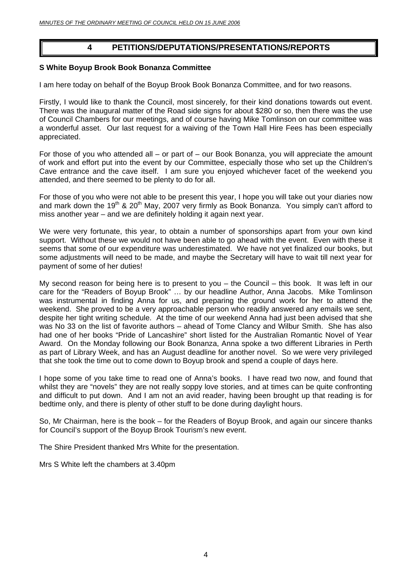#### **4 PETITIONS/DEPUTATIONS/PRESENTATIONS/REPORTS**

#### <span id="page-3-0"></span>**S White Boyup Brook Book Bonanza Committee**

I am here today on behalf of the Boyup Brook Book Bonanza Committee, and for two reasons.

Firstly, I would like to thank the Council, most sincerely, for their kind donations towards out event. There was the inaugural matter of the Road side signs for about \$280 or so, then there was the use of Council Chambers for our meetings, and of course having Mike Tomlinson on our committee was a wonderful asset. Our last request for a waiving of the Town Hall Hire Fees has been especially appreciated.

For those of you who attended all – or part of – our Book Bonanza, you will appreciate the amount of work and effort put into the event by our Committee, especially those who set up the Children's Cave entrance and the cave itself. I am sure you enjoyed whichever facet of the weekend you attended, and there seemed to be plenty to do for all.

For those of you who were not able to be present this year, I hope you will take out your diaries now and mark down the 19<sup>th</sup> & 20<sup>th</sup> May, 2007 very firmly as Book Bonanza. You simply can't afford to miss another year – and we are definitely holding it again next year.

We were very fortunate, this year, to obtain a number of sponsorships apart from your own kind support. Without these we would not have been able to go ahead with the event. Even with these it seems that some of our expenditure was underestimated. We have not yet finalized our books, but some adjustments will need to be made, and maybe the Secretary will have to wait till next year for payment of some of her duties!

My second reason for being here is to present to you – the Council – this book. It was left in our care for the "Readers of Boyup Brook" … by our headline Author, Anna Jacobs. Mike Tomlinson was instrumental in finding Anna for us, and preparing the ground work for her to attend the weekend. She proved to be a very approachable person who readily answered any emails we sent, despite her tight writing schedule. At the time of our weekend Anna had just been advised that she was No 33 on the list of favorite authors – ahead of Tome Clancy and Wilbur Smith. She has also had one of her books "Pride of Lancashire" short listed for the Australian Romantic Novel of Year Award. On the Monday following our Book Bonanza, Anna spoke a two different Libraries in Perth as part of Library Week, and has an August deadline for another novel. So we were very privileged that she took the time out to come down to Boyup brook and spend a couple of days here.

I hope some of you take time to read one of Anna's books. I have read two now, and found that whilst they are "novels" they are not really soppy love stories, and at times can be quite confronting and difficult to put down. And I am not an avid reader, having been brought up that reading is for bedtime only, and there is plenty of other stuff to be done during daylight hours.

So, Mr Chairman, here is the book – for the Readers of Boyup Brook, and again our sincere thanks for Council's support of the Boyup Brook Tourism's new event.

The Shire President thanked Mrs White for the presentation.

Mrs S White left the chambers at 3.40pm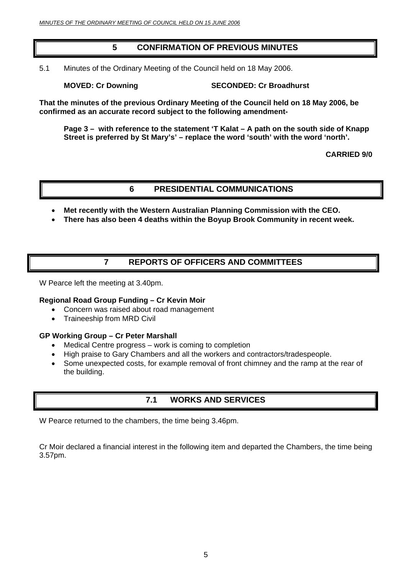### **5 CONFIRMATION OF PREVIOUS MINUTES**

<span id="page-4-0"></span>5.1 Minutes of the Ordinary Meeting of the Council held on 18 May 2006.

**MOVED: Cr Downing SECONDED: Cr Broadhurst** 

**That the minutes of the previous Ordinary Meeting of the Council held on 18 May 2006, be confirmed as an accurate record subject to the following amendment-**

**Page 3 – with reference to the statement 'T Kalat – A path on the south side of Knapp Street is preferred by St Mary's' – replace the word 'south' with the word 'north'.** 

**CARRIED 9/0** 

#### **6 PRESIDENTIAL COMMUNICATIONS**

- **Met recently with the Western Australian Planning Commission with the CEO.**
- **There has also been 4 deaths within the Boyup Brook Community in recent week.**

### **7 REPORTS OF OFFICERS AND COMMITTEES**

W Pearce left the meeting at 3.40pm.

#### **Regional Road Group Funding – Cr Kevin Moir**

- Concern was raised about road management
- Traineeship from MRD Civil

#### **GP Working Group – Cr Peter Marshall**

- Medical Centre progress work is coming to completion
- High praise to Gary Chambers and all the workers and contractors/tradespeople.
- Some unexpected costs, for example removal of front chimney and the ramp at the rear of the building.

### **7.1 WORKS AND SERVICES**

W Pearce returned to the chambers, the time being 3.46pm.

Cr Moir declared a financial interest in the following item and departed the Chambers, the time being 3.57pm.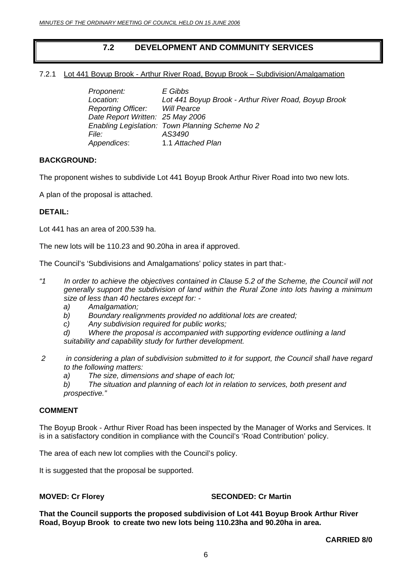### **7.2 DEVELOPMENT AND COMMUNITY SERVICES**

#### <span id="page-5-0"></span>7.2.1 Lot 441 Boyup Brook - Arthur River Road, Boyup Brook – Subdivision/Amalgamation

| Proponent:                            | E Gibbs                                              |
|---------------------------------------|------------------------------------------------------|
| Location:                             | Lot 441 Boyup Brook - Arthur River Road, Boyup Brook |
| <b>Reporting Officer:</b> Will Pearce |                                                      |
| Date Report Written: 25 May 2006      |                                                      |
|                                       | Enabling Legislation: Town Planning Scheme No 2      |
| File:                                 | AS3490                                               |
| Appendices:                           | 1.1 Attached Plan                                    |

#### **BACKGROUND:**

The proponent wishes to subdivide Lot 441 Boyup Brook Arthur River Road into two new lots.

A plan of the proposal is attached.

#### **DETAIL:**

Lot 441 has an area of 200.539 ha.

The new lots will be 110.23 and 90.20ha in area if approved.

The Council's 'Subdivisions and Amalgamations' policy states in part that:-

- *"1 In order to achieve the objectives contained in Clause 5.2 of the Scheme, the Council will not generally support the subdivision of land within the Rural Zone into lots having a minimum size of less than 40 hectares except for:* 
	- *a) Amalgamation;*
	- *b) Boundary realignments provided no additional lots are created;*
	- *c) Any subdivision required for public works;*
	- *d) Where the proposal is accompanied with supporting evidence outlining a land suitability and capability study for further development.*
- *2 in considering a plan of subdivision submitted to it for support, the Council shall have regard to the following matters:* 
	- *a) The size, dimensions and shape of each lot;*
	- *b) The situation and planning of each lot in relation to services, both present and prospective."*

#### **COMMENT**

The Boyup Brook - Arthur River Road has been inspected by the Manager of Works and Services. It is in a satisfactory condition in compliance with the Council's 'Road Contribution' policy.

The area of each new lot complies with the Council's policy.

It is suggested that the proposal be supported.

#### **MOVED: Cr Florey SECONDED: Cr Martin**

**That the Council supports the proposed subdivision of Lot 441 Boyup Brook Arthur River Road, Boyup Brook to create two new lots being 110.23ha and 90.20ha in area.**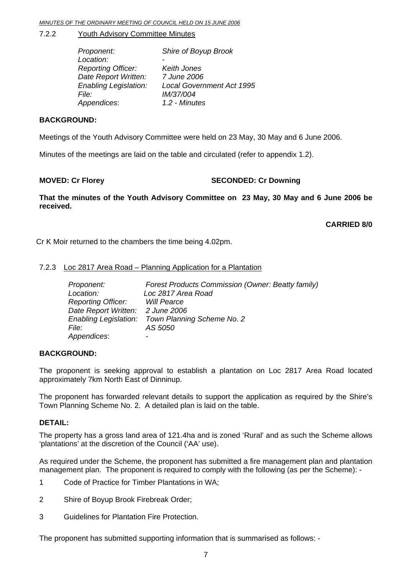#### <span id="page-6-0"></span>7.2.2 Youth Advisory Committee Minutes

| Proponent:                   | Shire of Boyup Brook             |
|------------------------------|----------------------------------|
| Location:                    |                                  |
| <b>Reporting Officer:</b>    | Keith Jones                      |
| Date Report Written:         | 7 June 2006                      |
| <b>Enabling Legislation:</b> | <b>Local Government Act 1995</b> |
| <i>File:</i>                 | IM/37/004                        |
| Appendices:                  | 1.2 - Minutes                    |

#### **BACKGROUND:**

Meetings of the Youth Advisory Committee were held on 23 May, 30 May and 6 June 2006.

Minutes of the meetings are laid on the table and circulated (refer to appendix 1.2).

#### **MOVED: Cr Florey SECONDED: Cr Downing**

**That the minutes of the Youth Advisory Committee on 23 May, 30 May and 6 June 2006 be received.** 

**CARRIED 8/0** 

Cr K Moir returned to the chambers the time being 4.02pm.

#### 7.2.3 Loc 2817 Area Road – Planning Application for a Plantation

| Proponent:                       | <b>Forest Products Commission (Owner: Beatty family)</b> |
|----------------------------------|----------------------------------------------------------|
| Location:                        | Loc 2817 Area Road                                       |
| <b>Reporting Officer:</b>        | <b>Will Pearce</b>                                       |
| Date Report Written: 2 June 2006 |                                                          |
|                                  | Enabling Legislation: Town Planning Scheme No. 2         |
| <i>File:</i>                     | AS 5050                                                  |
| Appendices:                      | ۰                                                        |

#### **BACKGROUND:**

The proponent is seeking approval to establish a plantation on Loc 2817 Area Road located approximately 7km North East of Dinninup.

The proponent has forwarded relevant details to support the application as required by the Shire's Town Planning Scheme No. 2. A detailed plan is laid on the table.

#### **DETAIL:**

The property has a gross land area of 121.4ha and is zoned 'Rural' and as such the Scheme allows 'plantations' at the discretion of the Council ('AA' use).

As required under the Scheme, the proponent has submitted a fire management plan and plantation management plan. The proponent is required to comply with the following (as per the Scheme): -

- 1 Code of Practice for Timber Plantations in WA;
- 2 Shire of Boyup Brook Firebreak Order;
- 3 Guidelines for Plantation Fire Protection.

The proponent has submitted supporting information that is summarised as follows: -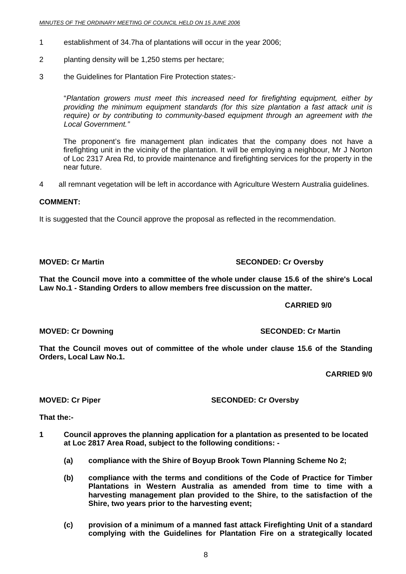- 1 establishment of 34.7ha of plantations will occur in the year 2006;
- 2 planting density will be 1,250 stems per hectare;
- 3 the Guidelines for Plantation Fire Protection states:-

"*Plantation growers must meet this increased need for firefighting equipment, either by providing the minimum equipment standards (for this size plantation a fast attack unit is require) or by contributing to community-based equipment through an agreement with the Local Government."*

 The proponent's fire management plan indicates that the company does not have a firefighting unit in the vicinity of the plantation. It will be employing a neighbour, Mr J Norton of Loc 2317 Area Rd, to provide maintenance and firefighting services for the property in the near future.

4 all remnant vegetation will be left in accordance with Agriculture Western Australia guidelines.

#### **COMMENT:**

It is suggested that the Council approve the proposal as reflected in the recommendation.

**MOVED: Cr Martin SECONDED: Cr Oversby** 

**That the Council move into a committee of the whole under clause 15.6 of the shire's Local Law No.1 - Standing Orders to allow members free discussion on the matter.** 

#### **CARRIED 9/0**

**MOVED: Cr Downing SECONDED: Cr Martin** 

**That the Council moves out of committee of the whole under clause 15.6 of the Standing Orders, Local Law No.1.** 

**CARRIED 9/0** 

**MOVED: Cr Piper SECONDED: Cr Oversby** 

**That the:-** 

- **1 Council approves the planning application for a plantation as presented to be located at Loc 2817 Area Road, subject to the following conditions: -** 
	- **(a) compliance with the Shire of Boyup Brook Town Planning Scheme No 2;**
	- **(b) compliance with the terms and conditions of the Code of Practice for Timber Plantations in Western Australia as amended from time to time with a harvesting management plan provided to the Shire, to the satisfaction of the Shire, two years prior to the harvesting event;**
	- **(c) provision of a minimum of a manned fast attack Firefighting Unit of a standard complying with the Guidelines for Plantation Fire on a strategically located**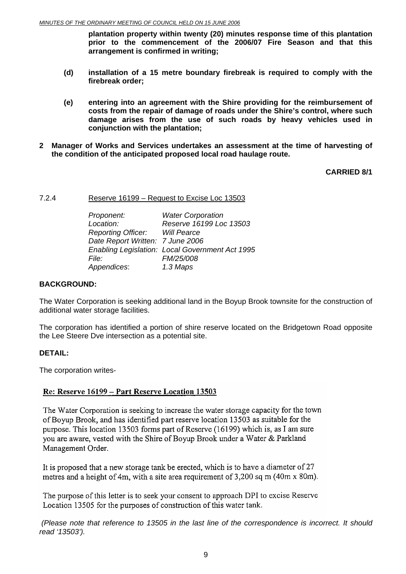<span id="page-8-0"></span>**plantation property within twenty (20) minutes response time of this plantation prior to the commencement of the 2006/07 Fire Season and that this arrangement is confirmed in writing;** 

- **(d) installation of a 15 metre boundary firebreak is required to comply with the firebreak order;**
- **(e) entering into an agreement with the Shire providing for the reimbursement of costs from the repair of damage of roads under the Shire's control, where such damage arises from the use of such roads by heavy vehicles used in conjunction with the plantation;**
- **2 Manager of Works and Services undertakes an assessment at the time of harvesting of the condition of the anticipated proposed local road haulage route.**

**CARRIED 8/1** 

7.2.4 Reserve 16199 – Request to Excise Loc 13503

|       | Proponent:                            | <b>Water Corporation</b>                        |
|-------|---------------------------------------|-------------------------------------------------|
|       | Location:                             | Reserve 16199 Loc 13503                         |
|       | <b>Reporting Officer:</b> Will Pearce |                                                 |
|       | Date Report Written: 7 June 2006      |                                                 |
|       |                                       | Enabling Legislation: Local Government Act 1995 |
| File: |                                       | FM/25/008                                       |
|       | Appendices:                           | 1.3 Maps                                        |
|       |                                       |                                                 |

#### **BACKGROUND:**

The Water Corporation is seeking additional land in the Boyup Brook townsite for the construction of additional water storage facilities.

The corporation has identified a portion of shire reserve located on the Bridgetown Road opposite the Lee Steere Dve intersection as a potential site.

#### **DETAIL:**

The corporation writes-

#### Re: Reserve 16199 - Part Reserve Location 13503

The Water Corporation is seeking to increase the water storage capacity for the town of Boyup Brook, and has identified part reserve location 13503 as suitable for the purpose. This location 13503 forms part of Reserve (16199) which is, as I am sure you are aware, vested with the Shire of Boyup Brook under a Water & Parkland Management Order.

It is proposed that a new storage tank be erected, which is to have a diameter of 27 metres and a height of 4m, with a site area requirement of 3,200 sq m (40m x 80m).

The purpose of this letter is to seek your consent to approach DPI to excise Reserve Location 13505 for the purposes of construction of this water tank.

*(Please note that reference to 13505 in the last line of the correspondence is incorrect. It should read '13503').*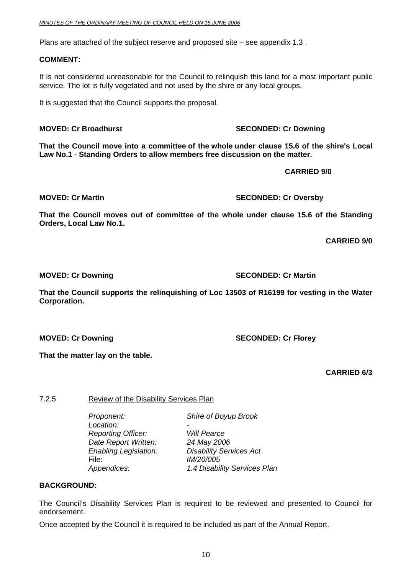<span id="page-9-0"></span>Plans are attached of the subject reserve and proposed site – see appendix 1.3 .

#### **COMMENT:**

It is not considered unreasonable for the Council to relinquish this land for a most important public service. The lot is fully vegetated and not used by the shire or any local groups.

It is suggested that the Council supports the proposal.

#### **MOVED: Cr Broadhurst SECONDED: Cr Downing COVED: Cr Downing**

**That the Council move into a committee of the whole under clause 15.6 of the shire's Local Law No.1 - Standing Orders to allow members free discussion on the matter.** 

 **CARRIED 9/0** 

**MOVED: Cr Martin SECONDED: Cr Oversby** 

**That the Council moves out of committee of the whole under clause 15.6 of the Standing Orders, Local Law No.1.** 

**CARRIED 9/0** 

**That the Council supports the relinquishing of Loc 13503 of R16199 for vesting in the Water Corporation.** 

**That the matter lay on the table.** 

**CARRIED 6/3** 

#### 7.2.5 Review of the Disability Services Plan

 *Proponent: Shire of Boyup Brook*  Location:  *Reporting Officer: Will Pearce Date Report Written: 24 May 2006*  File: *IM/20/005*

*Enabling Legislation: Disability Services Act Appendices: 1.4 Disability Services Plan* 

#### **BACKGROUND:**

The Council's Disability Services Plan is required to be reviewed and presented to Council for endorsement.

Once accepted by the Council it is required to be included as part of the Annual Report.

**MOVED: Cr Downing SECONDED: Cr Martin** 

**MOVED: Cr Downing SECONDED: Cr Florey**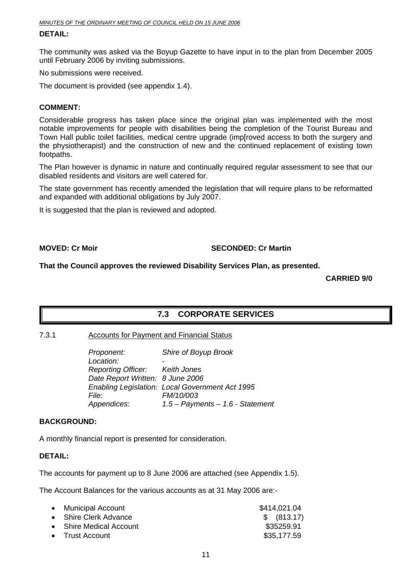#### <span id="page-10-0"></span>**DETAIL:**

The community was asked via the Boyup Gazette to have input in to the plan from December 2005 until February 2006 by inviting submissions.

No submissions were received.

The document is provided (see appendix 1.4).

#### **COMMENT:**

Considerable progress has taken place since the original plan was implemented with the most notable improvements for people with disabilities being the completion of the Tourist Bureau and Town Hall public toilet facilities, medical centre upgrade (imp[roved access to both the surgery and the physiotherapist) and the construction of new and the continued replacement of existing town footpaths.

The Plan however is dynamic in nature and continually required regular assessment to see that our disabled residents and visitors are well catered for.

The state government has recently amended the legislation that will require plans to be reformatted and expanded with additional obligations by July 2007.

It is suggested that the plan is reviewed and adopted.

#### **MOVED: Cr Moir** SECONDED: Cr Martin

**That the Council approves the reviewed Disability Services Plan, as presented.** 

**CARRIED 9/0**

#### **7.3 CORPORATE SERVICES**

#### 7.3.1 Accounts for Payment and Financial Status

*Proponent: Shire of Boyup Brook Location: - Reporting Officer: Keith Jones Date Report Written: 8 June 2006 Enabling Legislation: Local Government Act 1995 File: FM/10/003 Appendices*: *1.5 – Payments – 1.6 - Statement* 

#### **BACKGROUND:**

A monthly financial report is presented for consideration.

#### **DETAIL:**

The accounts for payment up to 8 June 2006 are attached (see Appendix 1.5).

The Account Balances for the various accounts as at 31 May 2006 are:-

| • Municipal Account     | \$414,021.04 |
|-------------------------|--------------|
| • Shire Clerk Advance   | \$ (813.17)  |
| • Shire Medical Account | \$35259.91   |
| • Trust Account         | \$35,177.59  |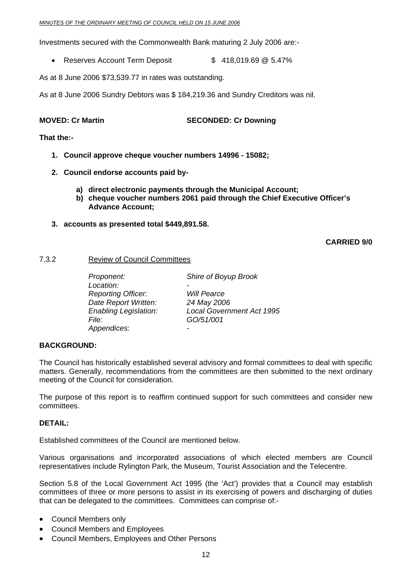<span id="page-11-0"></span>Investments secured with the Commonwealth Bank maturing 2 July 2006 are:-

• Reserves Account Term Deposit  $$ 418,019.69 \text{ @ } 5.47\%$ 

As at 8 June 2006 \$73,539.77 in rates was outstanding.

As at 8 June 2006 Sundry Debtors was \$ 184,219.36 and Sundry Creditors was nil.

**MOVED: Cr Martin SECONDED: Cr Downing** 

**That the:-** 

- **1. Council approve cheque voucher numbers 14996 15082;**
- **2. Council endorse accounts paid by**
	- **a) direct electronic payments through the Municipal Account;**
	- **b) cheque voucher numbers 2061 paid through the Chief Executive Officer's Advance Account;**
- **3. accounts as presented total \$449,891.58.**

**CARRIED 9/0**

#### 7.3.2 Review of Council Committees

 *Proponent: Shire of Boyup Brook*  Location:  *Reporting Officer: Will Pearce Date Report Written: 24 May 2006 File: GO/51/001 Appendices*: -

*Enabling Legislation: Local Government Act 1995* 

#### **BACKGROUND:**

The Council has historically established several advisory and formal committees to deal with specific matters. Generally, recommendations from the committees are then submitted to the next ordinary meeting of the Council for consideration.

The purpose of this report is to reaffirm continued support for such committees and consider new committees.

#### **DETAIL:**

Established committees of the Council are mentioned below.

Various organisations and incorporated associations of which elected members are Council representatives include Rylington Park, the Museum, Tourist Association and the Telecentre.

Section 5.8 of the Local Government Act 1995 (the 'Act') provides that a Council may establish committees of three or more persons to assist in its exercising of powers and discharging of duties that can be delegated to the committees. Committees can comprise of:-

- Council Members only
- Council Members and Employees
- Council Members, Employees and Other Persons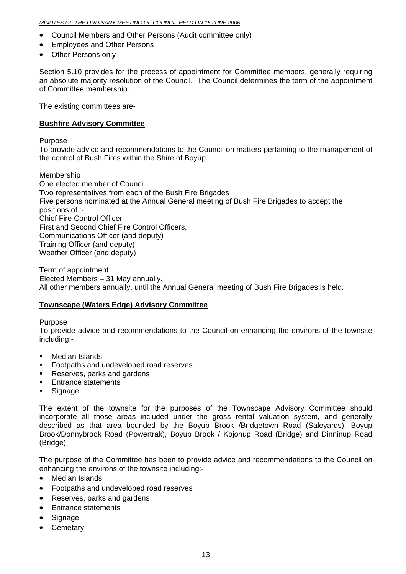- Council Members and Other Persons (Audit committee only)
- Employees and Other Persons
- Other Persons only

Section 5.10 provides for the process of appointment for Committee members, generally requiring an absolute majority resolution of the Council. The Council determines the term of the appointment of Committee membership.

The existing committees are-

#### **Bushfire Advisory Committee**

Purpose

To provide advice and recommendations to the Council on matters pertaining to the management of the control of Bush Fires within the Shire of Boyup.

Membership One elected member of Council Two representatives from each of the Bush Fire Brigades Five persons nominated at the Annual General meeting of Bush Fire Brigades to accept the positions of :- Chief Fire Control Officer First and Second Chief Fire Control Officers, Communications Officer (and deputy) Training Officer (and deputy) Weather Officer (and deputy)

Term of appointment Elected Members – 31 May annually. All other members annually, until the Annual General meeting of Bush Fire Brigades is held.

#### **Townscape (Waters Edge) Advisory Committee**

Purpose

To provide advice and recommendations to the Council on enhancing the environs of the townsite including:-

- Median Islands
- **Footpaths and undeveloped road reserves**
- Reserves, parks and gardens
- **Entrance statements**
- **Signage**

The extent of the townsite for the purposes of the Townscape Advisory Committee should incorporate all those areas included under the gross rental valuation system, and generally described as that area bounded by the Boyup Brook /Bridgetown Road (Saleyards), Boyup Brook/Donnybrook Road (Powertrak), Boyup Brook / Kojonup Road (Bridge) and Dinninup Road (Bridge).

The purpose of the Committee has been to provide advice and recommendations to the Council on enhancing the environs of the townsite including:-

- Median Islands
- Footpaths and undeveloped road reserves
- Reserves, parks and gardens
- Entrance statements
- Signage
- Cemetary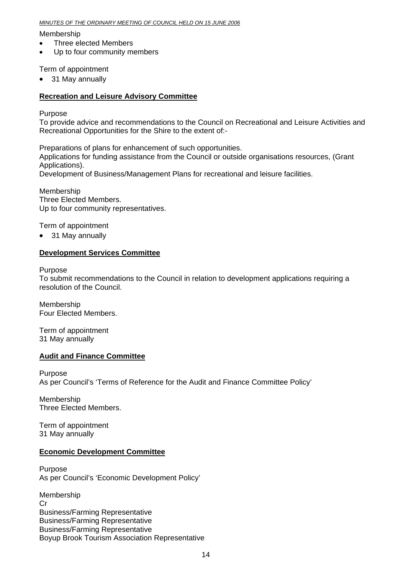#### *MINUTES OF THE ORDINARY MEETING OF COUNCIL HELD ON 15 JUNE 2006*

#### Membership

- Three elected Members
- Up to four community members

#### Term of appointment

• 31 May annually

#### **Recreation and Leisure Advisory Committee**

Purpose

To provide advice and recommendations to the Council on Recreational and Leisure Activities and Recreational Opportunities for the Shire to the extent of:-

Preparations of plans for enhancement of such opportunities. Applications for funding assistance from the Council or outside organisations resources, (Grant Applications). Development of Business/Management Plans for recreational and leisure facilities.

Membership Three Elected Members. Up to four community representatives.

Term of appointment

• 31 May annually

#### **Development Services Committee**

Purpose

To submit recommendations to the Council in relation to development applications requiring a resolution of the Council.

Membership Four Elected Members.

Term of appointment 31 May annually

#### **Audit and Finance Committee**

Purpose As per Council's 'Terms of Reference for the Audit and Finance Committee Policy'

Membership Three Elected Members.

Term of appointment 31 May annually

#### **Economic Development Committee**

Purpose As per Council's 'Economic Development Policy'

Membership Cr Business/Farming Representative Business/Farming Representative Business/Farming Representative Boyup Brook Tourism Association Representative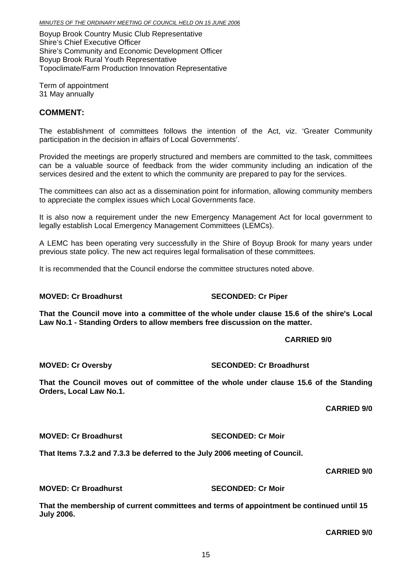Boyup Brook Country Music Club Representative Shire's Chief Executive Officer Shire's Community and Economic Development Officer Boyup Brook Rural Youth Representative Topoclimate/Farm Production Innovation Representative

Term of appointment 31 May annually

### **COMMENT:**

The establishment of committees follows the intention of the Act, viz. 'Greater Community participation in the decision in affairs of Local Governments'.

Provided the meetings are properly structured and members are committed to the task, committees can be a valuable source of feedback from the wider community including an indication of the services desired and the extent to which the community are prepared to pay for the services.

The committees can also act as a dissemination point for information, allowing community members to appreciate the complex issues which Local Governments face.

It is also now a requirement under the new Emergency Management Act for local government to legally establish Local Emergency Management Committees (LEMCs).

A LEMC has been operating very successfully in the Shire of Boyup Brook for many years under previous state policy. The new act requires legal formalisation of these committees.

It is recommended that the Council endorse the committee structures noted above.

### **MOVED: Cr Broadhurst SECONDED: Cr Piper**

**That the Council move into a committee of the whole under clause 15.6 of the shire's Local Law No.1 - Standing Orders to allow members free discussion on the matter.** 

### **CARRIED 9/0**

**MOVED: Cr Oversby SECONDED: Cr Broadhurst** 

**That the Council moves out of committee of the whole under clause 15.6 of the Standing Orders, Local Law No.1.** 

**CARRIED 9/0** 

**MOVED: Cr Broadhurst SECONDED: Cr Moir** 

**That Items 7.3.2 and 7.3.3 be deferred to the July 2006 meeting of Council.** 

### **CARRIED 9/0**

**MOVED: Cr Broadhurst SECONDED: Cr Moir** 

**That the membership of current committees and terms of appointment be continued until 15 July 2006.** 

**CARRIED 9/0**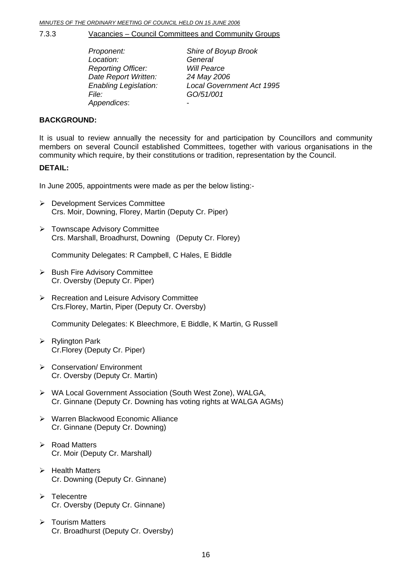<span id="page-15-0"></span>7.3.3 Vacancies – Council Committees and Community Groups

| Proponent:                   | Shire of Boyup Brook             |
|------------------------------|----------------------------------|
| Location:                    | General                          |
| <b>Reporting Officer:</b>    | <b>Will Pearce</b>               |
| Date Report Written:         | 24 May 2006                      |
| <b>Enabling Legislation:</b> | <b>Local Government Act 1995</b> |
| File:                        | GO/51/001                        |
| Appendices:                  |                                  |

#### **BACKGROUND:**

It is usual to review annually the necessity for and participation by Councillors and community members on several Council established Committees, together with various organisations in the community which require, by their constitutions or tradition, representation by the Council.

#### **DETAIL:**

In June 2005, appointments were made as per the below listing:-

- ¾ Development Services Committee Crs. Moir, Downing, Florey, Martin (Deputy Cr. Piper)
- ¾ Townscape Advisory Committee Crs. Marshall, Broadhurst, Downing (Deputy Cr. Florey)

Community Delegates: R Campbell, C Hales, E Biddle

- $\triangleright$  Bush Fire Advisory Committee Cr. Oversby (Deputy Cr. Piper)
- **EXA Recreation and Leisure Advisory Committee** Crs.Florey, Martin, Piper (Deputy Cr. Oversby)

Community Delegates: K Bleechmore, E Biddle, K Martin, G Russell

- $\triangleright$  Rylington Park Cr.Florey (Deputy Cr. Piper)
- ¾ Conservation/ Environment Cr. Oversby (Deputy Cr. Martin)
- ¾ WA Local Government Association (South West Zone), WALGA, Cr. Ginnane (Deputy Cr. Downing has voting rights at WALGA AGMs)
- ¾ Warren Blackwood Economic Alliance Cr. Ginnane (Deputy Cr. Downing)
- $\triangleright$  Road Matters Cr. Moir (Deputy Cr. Marshall*)*
- $\triangleright$  Health Matters Cr. Downing (Deputy Cr. Ginnane)
- $\triangleright$  Telecentre Cr. Oversby (Deputy Cr. Ginnane)
- $\triangleright$  Tourism Matters Cr. Broadhurst (Deputy Cr. Oversby)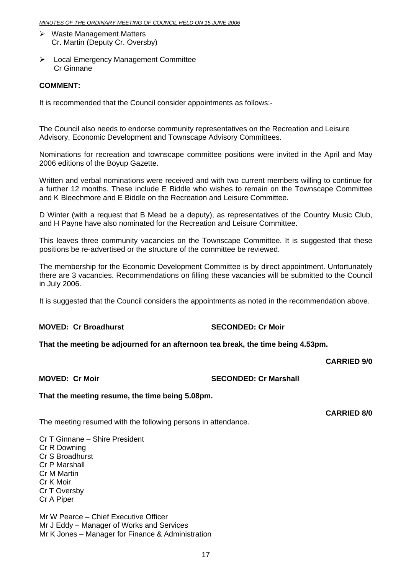- $\triangleright$  Waste Management Matters Cr. Martin (Deputy Cr. Oversby)
- ¾ Local Emergency Management Committee Cr Ginnane

#### **COMMENT:**

It is recommended that the Council consider appointments as follows:-

The Council also needs to endorse community representatives on the Recreation and Leisure Advisory, Economic Development and Townscape Advisory Committees.

Nominations for recreation and townscape committee positions were invited in the April and May 2006 editions of the Boyup Gazette.

Written and verbal nominations were received and with two current members willing to continue for a further 12 months. These include E Biddle who wishes to remain on the Townscape Committee and K Bleechmore and E Biddle on the Recreation and Leisure Committee.

D Winter (with a request that B Mead be a deputy), as representatives of the Country Music Club, and H Payne have also nominated for the Recreation and Leisure Committee.

This leaves three community vacancies on the Townscape Committee. It is suggested that these positions be re-advertised or the structure of the committee be reviewed.

The membership for the Economic Development Committee is by direct appointment. Unfortunately there are 3 vacancies. Recommendations on filling these vacancies will be submitted to the Council in July 2006.

It is suggested that the Council considers the appointments as noted in the recommendation above.

#### **MOVED: Cr Broadhurst SECONDED: Cr Moir**

**That the meeting be adjourned for an afternoon tea break, the time being 4.53pm.** 

#### **CARRIED 9/0**

**MOVED: Cr Moir SECONDED: Cr Marshall** 

**That the meeting resume, the time being 5.08pm.** 

The meeting resumed with the following persons in attendance.

**CARRIED 8/0** 

Cr T Ginnane – Shire President Cr R Downing Cr S Broadhurst Cr P Marshall

Cr M Martin

Cr K Moir

Cr T Oversby

Cr A Piper

Mr W Pearce – Chief Executive Officer Mr J Eddy – Manager of Works and Services Mr K Jones – Manager for Finance & Administration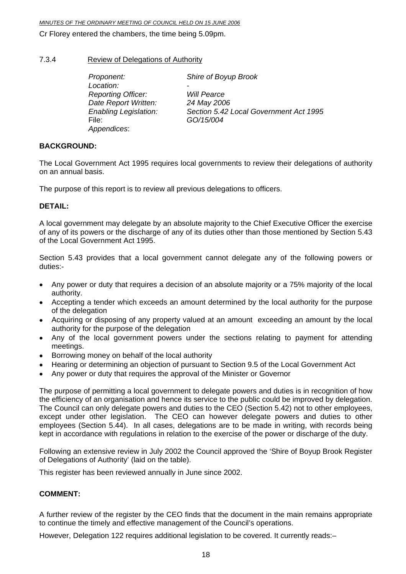#### <span id="page-17-0"></span>*MINUTES OF THE ORDINARY MEETING OF COUNCIL HELD ON 15 JUNE 2006*

Cr Florey entered the chambers, the time being 5.09pm.

#### 7.3.4 Review of Delegations of Authority

| Proponent:                   | Shire of Boyup Brook                   |
|------------------------------|----------------------------------------|
| Location:                    |                                        |
| <b>Reporting Officer:</b>    | <b>Will Pearce</b>                     |
| Date Report Written:         | 24 May 2006                            |
| <b>Enabling Legislation:</b> | Section 5.42 Local Government Act 1995 |
| File:                        | GO/15/004                              |
| Appendices:                  |                                        |

#### **BACKGROUND:**

The Local Government Act 1995 requires local governments to review their delegations of authority on an annual basis.

The purpose of this report is to review all previous delegations to officers.

#### **DETAIL:**

A local government may delegate by an absolute majority to the Chief Executive Officer the exercise of any of its powers or the discharge of any of its duties other than those mentioned by Section 5.43 of the Local Government Act 1995.

Section 5.43 provides that a local government cannot delegate any of the following powers or duties:-

- Any power or duty that requires a decision of an absolute majority or a 75% majority of the local authority.
- Accepting a tender which exceeds an amount determined by the local authority for the purpose of the delegation
- Acquiring or disposing of any property valued at an amount exceeding an amount by the local authority for the purpose of the delegation
- Any of the local government powers under the sections relating to payment for attending meetings.
- Borrowing money on behalf of the local authority
- Hearing or determining an objection of pursuant to Section 9.5 of the Local Government Act
- Any power or duty that requires the approval of the Minister or Governor

The purpose of permitting a local government to delegate powers and duties is in recognition of how the efficiency of an organisation and hence its service to the public could be improved by delegation. The Council can only delegate powers and duties to the CEO (Section 5.42) not to other employees, except under other legislation. The CEO can however delegate powers and duties to other employees (Section 5.44). In all cases, delegations are to be made in writing, with records being kept in accordance with regulations in relation to the exercise of the power or discharge of the duty.

Following an extensive review in July 2002 the Council approved the 'Shire of Boyup Brook Register of Delegations of Authority' (laid on the table).

This register has been reviewed annually in June since 2002.

#### **COMMENT:**

A further review of the register by the CEO finds that the document in the main remains appropriate to continue the timely and effective management of the Council's operations.

However, Delegation 122 requires additional legislation to be covered. It currently reads:–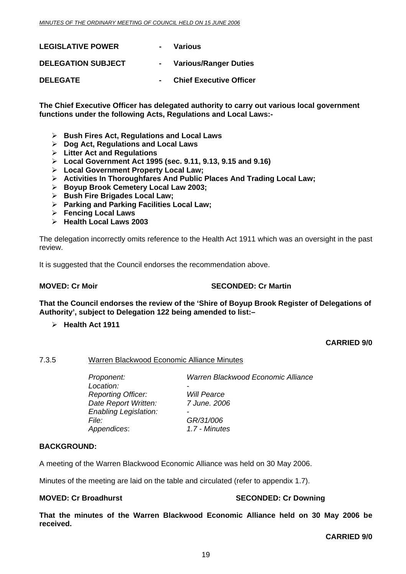<span id="page-18-0"></span>

| <b>LEGISLATIVE POWER</b>  | Various                        |
|---------------------------|--------------------------------|
| <b>DELEGATION SUBJECT</b> | <b>Various/Ranger Duties</b>   |
| <b>DELEGATE</b>           | <b>Chief Executive Officer</b> |

**The Chief Executive Officer has delegated authority to carry out various local government functions under the following Acts, Regulations and Local Laws:-** 

- ¾ **Bush Fires Act, Regulations and Local Laws**
- ¾ **Dog Act, Regulations and Local Laws**
- ¾ **Litter Act and Regulations**
- ¾ **Local Government Act 1995 (sec. 9.11, 9.13, 9.15 and 9.16)**
- ¾ **Local Government Property Local Law;**
- ¾ **Activities In Thoroughfares And Public Places And Trading Local Law;**
- ¾ **Boyup Brook Cemetery Local Law 2003;**
- ¾ **Bush Fire Brigades Local Law;**
- ¾ **Parking and Parking Facilities Local Law;**
- ¾ **Fencing Local Laws**
- ¾ **Health Local Laws 2003**

The delegation incorrectly omits reference to the Health Act 1911 which was an oversight in the past review.

It is suggested that the Council endorses the recommendation above.

#### **MOVED: Cr Moir** SECONDED: Cr Martin

**That the Council endorses the review of the 'Shire of Boyup Brook Register of Delegations of Authority', subject to Delegation 122 being amended to list:–** 

¾ **Health Act 1911** 

#### **CARRIED 9/0**

#### 7.3.5 Warren Blackwood Economic Alliance Minutes

 *Proponent: Warren Blackwood Economic Alliance*  Location: *Reporting Officer: Will Pearce Date Report Written: 7 June. 2006 Enabling Legislation: - File: GR/31/006 Appendices*: *1.7 - Minutes* 

#### **BACKGROUND:**

A meeting of the Warren Blackwood Economic Alliance was held on 30 May 2006.

Minutes of the meeting are laid on the table and circulated (refer to appendix 1.7).

#### **MOVED: Cr Broadhurst Cr And SECONDED: Cr Downing SECONDED: Cr Downing 3**

**That the minutes of the Warren Blackwood Economic Alliance held on 30 May 2006 be received.** 

**CARRIED 9/0**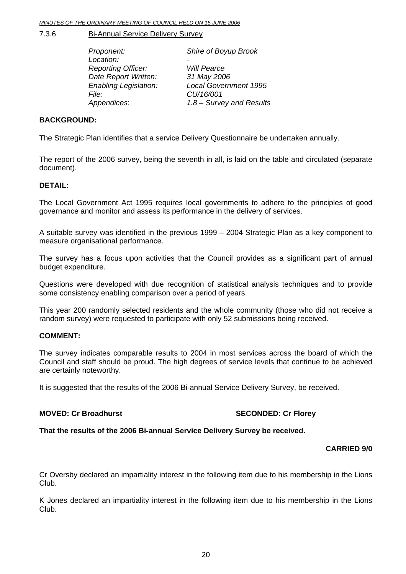<span id="page-19-0"></span>7.3.6 Bi-Annual Service Delivery Survey

| Shire of Boyup Brook         |
|------------------------------|
|                              |
| <b>Will Pearce</b>           |
| 31 May 2006                  |
| <b>Local Government 1995</b> |
| CU/16/001                    |
| 1.8 - Survey and Results     |
|                              |

#### **BACKGROUND:**

The Strategic Plan identifies that a service Delivery Questionnaire be undertaken annually.

The report of the 2006 survey, being the seventh in all, is laid on the table and circulated (separate document).

#### **DETAIL:**

The Local Government Act 1995 requires local governments to adhere to the principles of good governance and monitor and assess its performance in the delivery of services.

A suitable survey was identified in the previous 1999 – 2004 Strategic Plan as a key component to measure organisational performance.

The survey has a focus upon activities that the Council provides as a significant part of annual budget expenditure.

Questions were developed with due recognition of statistical analysis techniques and to provide some consistency enabling comparison over a period of years.

This year 200 randomly selected residents and the whole community (those who did not receive a random survey) were requested to participate with only 52 submissions being received.

#### **COMMENT:**

The survey indicates comparable results to 2004 in most services across the board of which the Council and staff should be proud. The high degrees of service levels that continue to be achieved are certainly noteworthy.

It is suggested that the results of the 2006 Bi-annual Service Delivery Survey, be received.

#### **MOVED: Cr Broadhurst SECONDED: Cr Florey**

**That the results of the 2006 Bi-annual Service Delivery Survey be received.** 

#### **CARRIED 9/0**

Cr Oversby declared an impartiality interest in the following item due to his membership in the Lions Club.

K Jones declared an impartiality interest in the following item due to his membership in the Lions Club.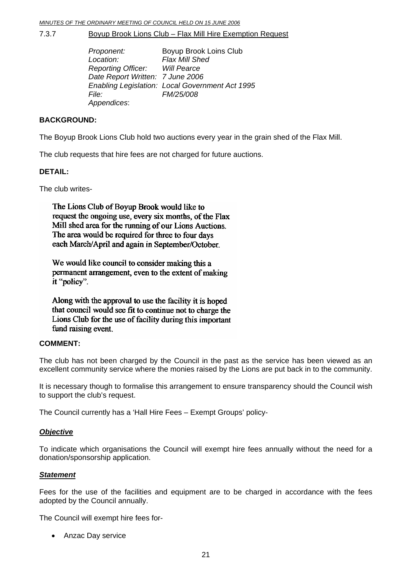<span id="page-20-0"></span>7.3.7 Boyup Brook Lions Club – Flax Mill Hire Exemption Request

| Proponent:                            | Boyup Brook Loins Club                          |
|---------------------------------------|-------------------------------------------------|
| Location:                             | Flax Mill Shed                                  |
| <b>Reporting Officer:</b> Will Pearce |                                                 |
| Date Report Written: 7 June 2006      |                                                 |
|                                       | Enabling Legislation: Local Government Act 1995 |
| <i>File:</i>                          | FM/25/008                                       |
| Appendices:                           |                                                 |

#### **BACKGROUND:**

The Boyup Brook Lions Club hold two auctions every year in the grain shed of the Flax Mill.

The club requests that hire fees are not charged for future auctions.

#### **DETAIL:**

The club writes-

The Lions Club of Boyup Brook would like to request the ongoing use, every six months, of the Flax Mill shed area for the running of our Lions Auctions. The area would be required for three to four days each March/April and again in September/October.

We would like council to consider making this a permanent arrangement, even to the extent of making it "policy".

Along with the approval to use the facility it is hoped that council would see fit to continue not to charge the Lions Club for the use of facility during this important fund raising event.

#### **COMMENT:**

The club has not been charged by the Council in the past as the service has been viewed as an excellent community service where the monies raised by the Lions are put back in to the community.

It is necessary though to formalise this arrangement to ensure transparency should the Council wish to support the club's request.

The Council currently has a 'Hall Hire Fees – Exempt Groups' policy-

#### *Objective*

To indicate which organisations the Council will exempt hire fees annually without the need for a donation/sponsorship application.

#### *Statement*

Fees for the use of the facilities and equipment are to be charged in accordance with the fees adopted by the Council annually.

The Council will exempt hire fees for-

• Anzac Day service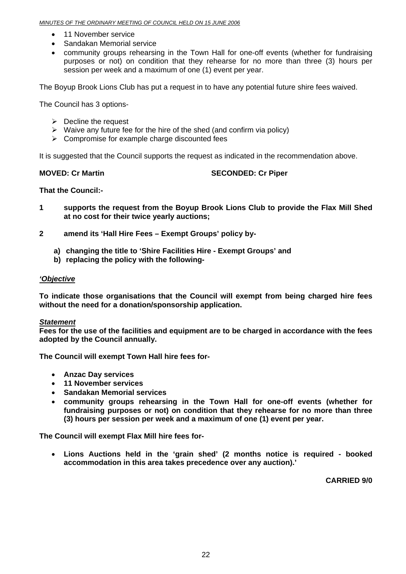- 11 November service
- Sandakan Memorial service
- community groups rehearsing in the Town Hall for one-off events (whether for fundraising purposes or not) on condition that they rehearse for no more than three (3) hours per session per week and a maximum of one (1) event per year.

The Boyup Brook Lions Club has put a request in to have any potential future shire fees waived.

The Council has 3 options-

- $\triangleright$  Decline the request
- $\triangleright$  Waive any future fee for the hire of the shed (and confirm via policy)
- $\triangleright$  Compromise for example charge discounted fees

It is suggested that the Council supports the request as indicated in the recommendation above.

**MOVED: Cr Martin SECONDED: Cr Piper** 

**That the Council:-** 

- **1 supports the request from the Boyup Brook Lions Club to provide the Flax Mill Shed at no cost for their twice yearly auctions;**
- **2 amend its 'Hall Hire Fees Exempt Groups' policy by**
	- **a) changing the title to 'Shire Facilities Hire Exempt Groups' and**
	- **b) replacing the policy with the following-**

#### *'Objective*

**To indicate those organisations that the Council will exempt from being charged hire fees without the need for a donation/sponsorship application.** 

#### *Statement*

**Fees for the use of the facilities and equipment are to be charged in accordance with the fees adopted by the Council annually.** 

**The Council will exempt Town Hall hire fees for-** 

- **Anzac Day services**
- **11 November services**
- **Sandakan Memorial services**
- **community groups rehearsing in the Town Hall for one-off events (whether for fundraising purposes or not) on condition that they rehearse for no more than three (3) hours per session per week and a maximum of one (1) event per year.**

**The Council will exempt Flax Mill hire fees for-** 

• **Lions Auctions held in the 'grain shed' (2 months notice is required - booked accommodation in this area takes precedence over any auction).'** 

**CARRIED 9/0**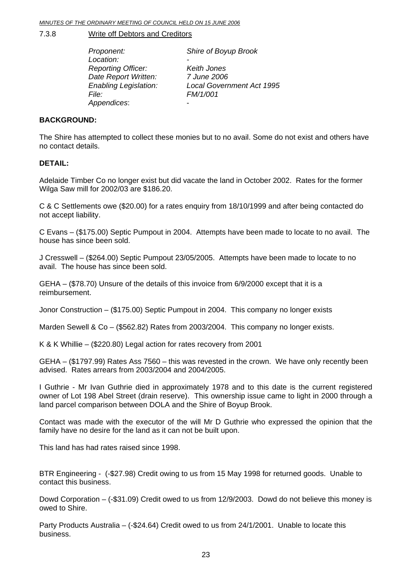<span id="page-22-0"></span>7.3.8 Write off Debtors and Creditors

| Proponent:                   | Shire of Boyup Brook             |
|------------------------------|----------------------------------|
| Location:                    |                                  |
| <b>Reporting Officer:</b>    | Keith Jones                      |
| Date Report Written:         | 7 June 2006                      |
| <b>Enabling Legislation:</b> | <b>Local Government Act 1995</b> |
| <i>File:</i>                 | FM/1/001                         |
| Appendices:                  |                                  |

#### **BACKGROUND:**

The Shire has attempted to collect these monies but to no avail. Some do not exist and others have no contact details.

#### **DETAIL:**

Adelaide Timber Co no longer exist but did vacate the land in October 2002. Rates for the former Wilga Saw mill for 2002/03 are \$186.20.

C & C Settlements owe (\$20.00) for a rates enquiry from 18/10/1999 and after being contacted do not accept liability.

C Evans – (\$175.00) Septic Pumpout in 2004. Attempts have been made to locate to no avail. The house has since been sold.

J Cresswell – (\$264.00) Septic Pumpout 23/05/2005. Attempts have been made to locate to no avail. The house has since been sold.

GEHA – (\$78.70) Unsure of the details of this invoice from 6/9/2000 except that it is a reimbursement.

Jonor Construction – (\$175.00) Septic Pumpout in 2004. This company no longer exists

Marden Sewell & Co – (\$562.82) Rates from 2003/2004. This company no longer exists.

K & K Whillie – (\$220.80) Legal action for rates recovery from 2001

GEHA – (\$1797.99) Rates Ass 7560 – this was revested in the crown. We have only recently been advised. Rates arrears from 2003/2004 and 2004/2005.

I Guthrie - Mr Ivan Guthrie died in approximately 1978 and to this date is the current registered owner of Lot 198 Abel Street (drain reserve). This ownership issue came to light in 2000 through a land parcel comparison between DOLA and the Shire of Boyup Brook.

Contact was made with the executor of the will Mr D Guthrie who expressed the opinion that the family have no desire for the land as it can not be built upon.

This land has had rates raised since 1998.

BTR Engineering - (-\$27.98) Credit owing to us from 15 May 1998 for returned goods. Unable to contact this business.

Dowd Corporation – (-\$31.09) Credit owed to us from 12/9/2003. Dowd do not believe this money is owed to Shire.

Party Products Australia – (-\$24.64) Credit owed to us from 24/1/2001. Unable to locate this business.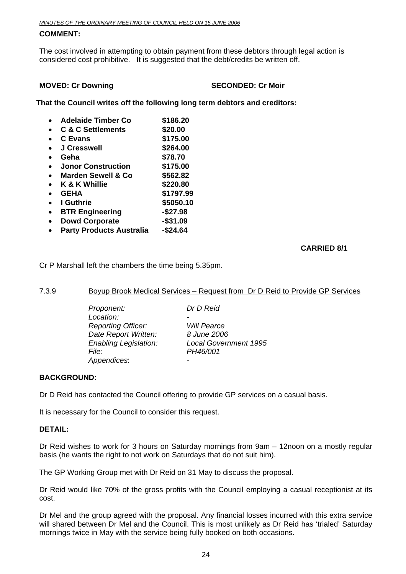#### <span id="page-23-0"></span>**COMMENT:**

The cost involved in attempting to obtain payment from these debtors through legal action is considered cost prohibitive. It is suggested that the debt/credits be written off.

#### **MOVED: Cr Downing SECONDED: Cr Moir**

**That the Council writes off the following long term debtors and creditors:** 

| <b>Adelaide Timber Co</b>       | \$186.20  |
|---------------------------------|-----------|
| <b>C &amp; C Settlements</b>    | \$20.00   |
| <b>C</b> Evans                  | \$175.00  |
| <b>J Cresswell</b>              | \$264.00  |
| Geha                            | \$78.70   |
| <b>Jonor Construction</b>       | \$175.00  |
| <b>Marden Sewell &amp; Co</b>   | \$562.82  |
| K & K Whillie                   | \$220.80  |
| <b>GEHA</b>                     | \$1797.99 |
| I Guthrie                       | \$5050.10 |
| <b>BTR Engineering</b>          | $-$27.98$ |
| <b>Dowd Corporate</b>           | -\$31.09  |
| <b>Party Products Australia</b> | -\$24.64  |

#### **CARRIED 8/1**

Cr P Marshall left the chambers the time being 5.35pm.

#### 7.3.9 Boyup Brook Medical Services – Request from Dr D Reid to Provide GP Services

 *Proponent: Dr D Reid*  Location:  *Reporting Officer: Will Pearce Date Report Written: 8 June 2006 File: PH46/001 Appendices*: *-* 

 *Enabling Legislation: Local Government 1995* 

#### **BACKGROUND:**

Dr D Reid has contacted the Council offering to provide GP services on a casual basis.

It is necessary for the Council to consider this request.

#### **DETAIL:**

Dr Reid wishes to work for 3 hours on Saturday mornings from 9am – 12noon on a mostly regular basis (he wants the right to not work on Saturdays that do not suit him).

The GP Working Group met with Dr Reid on 31 May to discuss the proposal.

Dr Reid would like 70% of the gross profits with the Council employing a casual receptionist at its cost.

Dr Mel and the group agreed with the proposal. Any financial losses incurred with this extra service will shared between Dr Mel and the Council. This is most unlikely as Dr Reid has 'trialed' Saturday mornings twice in May with the service being fully booked on both occasions.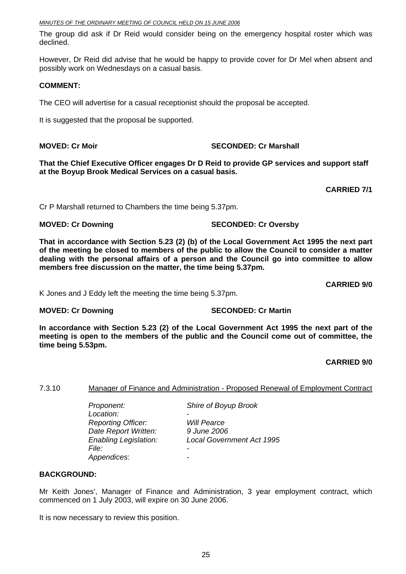<span id="page-24-0"></span>The group did ask if Dr Reid would consider being on the emergency hospital roster which was declined.

However, Dr Reid did advise that he would be happy to provide cover for Dr Mel when absent and possibly work on Wednesdays on a casual basis.

#### **COMMENT:**

The CEO will advertise for a casual receptionist should the proposal be accepted.

It is suggested that the proposal be supported.

**MOVED: Cr Moir Case Conduct Account MOVED: Cr Marshall** 

**That the Chief Executive Officer engages Dr D Reid to provide GP services and support staff at the Boyup Brook Medical Services on a casual basis.** 

**CARRIED 7/1** 

Cr P Marshall returned to Chambers the time being 5.37pm.

**MOVED: Cr Downing SECONDED: Cr Oversby** 

**That in accordance with Section 5.23 (2) (b) of the Local Government Act 1995 the next part of the meeting be closed to members of the public to allow the Council to consider a matter dealing with the personal affairs of a person and the Council go into committee to allow members free discussion on the matter, the time being 5.37pm.** 

**CARRIED 9/0** 

K Jones and J Eddy left the meeting the time being 5.37pm.

**MOVED: Cr Downing SECONDED: Cr Martin** 

**In accordance with Section 5.23 (2) of the Local Government Act 1995 the next part of the meeting is open to the members of the public and the Council come out of committee, the time being 5.53pm.** 

**CARRIED 9/0** 

#### 7.3.10 Manager of Finance and Administration - Proposed Renewal of Employment Contract

 *Location: - Reporting Officer: Will Pearce Date Report Written: 9 June 2006 File: - Appendices*: *-* 

*Proponent: Shire of Boyup Brook* 

*Enabling Legislation: Local Government Act 1995* 

#### **BACKGROUND:**

Mr Keith Jones', Manager of Finance and Administration, 3 year employment contract, which commenced on 1 July 2003, will expire on 30 June 2006.

It is now necessary to review this position.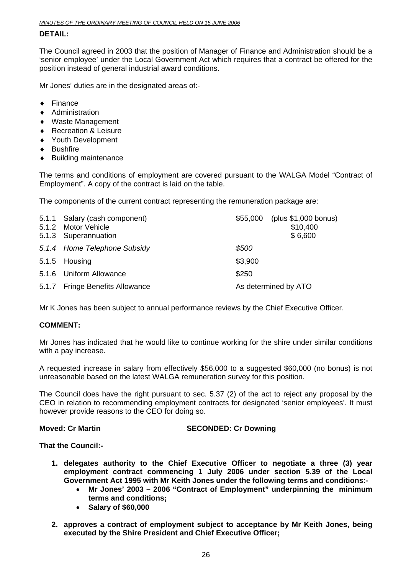#### **DETAIL:**

The Council agreed in 2003 that the position of Manager of Finance and Administration should be a 'senior employee' under the Local Government Act which requires that a contract be offered for the position instead of general industrial award conditions.

Mr Jones' duties are in the designated areas of:-

- ♦ Finance
- ♦ Administration
- ♦ Waste Management
- ♦ Recreation & Leisure
- ♦ Youth Development
- ♦ Bushfire
- ♦ Building maintenance

The terms and conditions of employment are covered pursuant to the WALGA Model "Contract of Employment". A copy of the contract is laid on the table.

The components of the current contract representing the remuneration package are:

| 5.1.1 Salary (cash component)<br>5.1.2 Motor Vehicle<br>5.1.3 Superannuation | \$55,000             | (plus \$1,000 bonus)<br>\$10,400<br>\$6,600 |
|------------------------------------------------------------------------------|----------------------|---------------------------------------------|
| 5.1.4 Home Telephone Subsidy                                                 | \$500                |                                             |
| 5.1.5 Housing                                                                | \$3,900              |                                             |
| 5.1.6 Uniform Allowance                                                      | \$250                |                                             |
| 5.1.7 Fringe Benefits Allowance                                              | As determined by ATO |                                             |

Mr K Jones has been subject to annual performance reviews by the Chief Executive Officer.

#### **COMMENT:**

Mr Jones has indicated that he would like to continue working for the shire under similar conditions with a pay increase.

A requested increase in salary from effectively \$56,000 to a suggested \$60,000 (no bonus) is not unreasonable based on the latest WALGA remuneration survey for this position.

The Council does have the right pursuant to sec. 5.37 (2) of the act to reject any proposal by the CEO in relation to recommending employment contracts for designated 'senior employees'. It must however provide reasons to the CEO for doing so.

**Moved: Cr Martin SECONDED: Cr Downing SECONDED: Cr Downing** 

**That the Council:-** 

- **1. delegates authority to the Chief Executive Officer to negotiate a three (3) year employment contract commencing 1 July 2006 under section 5.39 of the Local Government Act 1995 with Mr Keith Jones under the following terms and conditions:-** 
	- **Mr Jones' 2003 2006 "Contract of Employment" underpinning the minimum terms and conditions;**
	- **Salary of \$60,000**
- **2. approves a contract of employment subject to acceptance by Mr Keith Jones, being executed by the Shire President and Chief Executive Officer;**